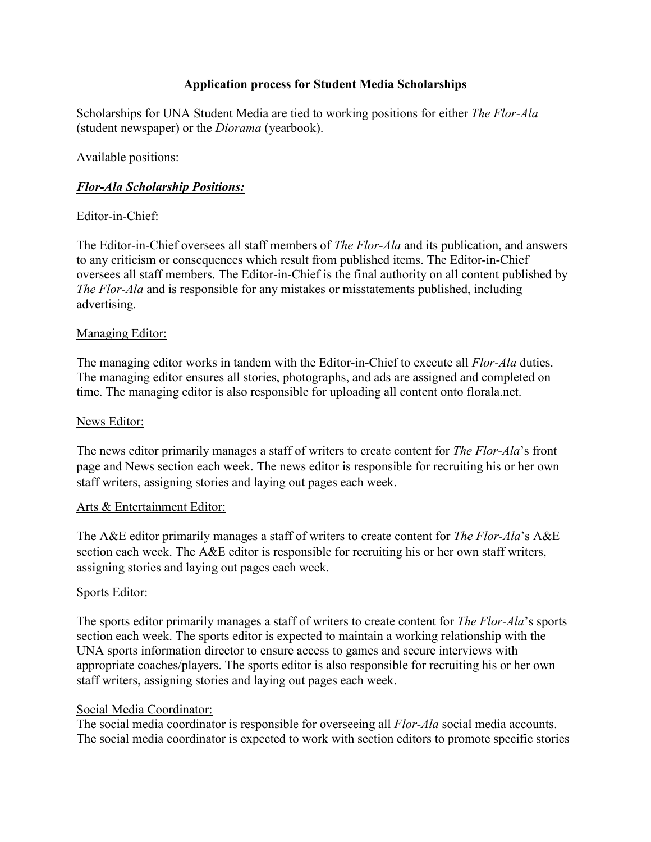## **Application process for Student Media Scholarships**

Scholarships for UNA Student Media are tied to working positions for either *The Flor-Ala*  (student newspaper) or the *Diorama* (yearbook).

Available positions:

# *Flor-Ala Scholarship Positions:*

## Editor-in-Chief:

The Editor-in-Chief oversees all staff members of *The Flor-Ala* and its publication, and answers to any criticism or consequences which result from published items. The Editor-in-Chief oversees all staff members. The Editor-in-Chief is the final authority on all content published by *The Flor-Ala* and is responsible for any mistakes or misstatements published, including advertising.

#### Managing Editor:

The managing editor works in tandem with the Editor-in-Chief to execute all *Flor-Ala* duties. The managing editor ensures all stories, photographs, and ads are assigned and completed on time. The managing editor is also responsible for uploading all content onto florala.net.

#### News Editor:

The news editor primarily manages a staff of writers to create content for *The Flor-Ala*'s front page and News section each week. The news editor is responsible for recruiting his or her own staff writers, assigning stories and laying out pages each week.

#### Arts & Entertainment Editor:

The A&E editor primarily manages a staff of writers to create content for *The Flor-Ala*'s A&E section each week. The A&E editor is responsible for recruiting his or her own staff writers, assigning stories and laying out pages each week.

#### Sports Editor:

The sports editor primarily manages a staff of writers to create content for *The Flor-Ala*'s sports section each week. The sports editor is expected to maintain a working relationship with the UNA sports information director to ensure access to games and secure interviews with appropriate coaches/players. The sports editor is also responsible for recruiting his or her own staff writers, assigning stories and laying out pages each week.

#### Social Media Coordinator:

The social media coordinator is responsible for overseeing all *Flor-Ala* social media accounts. The social media coordinator is expected to work with section editors to promote specific stories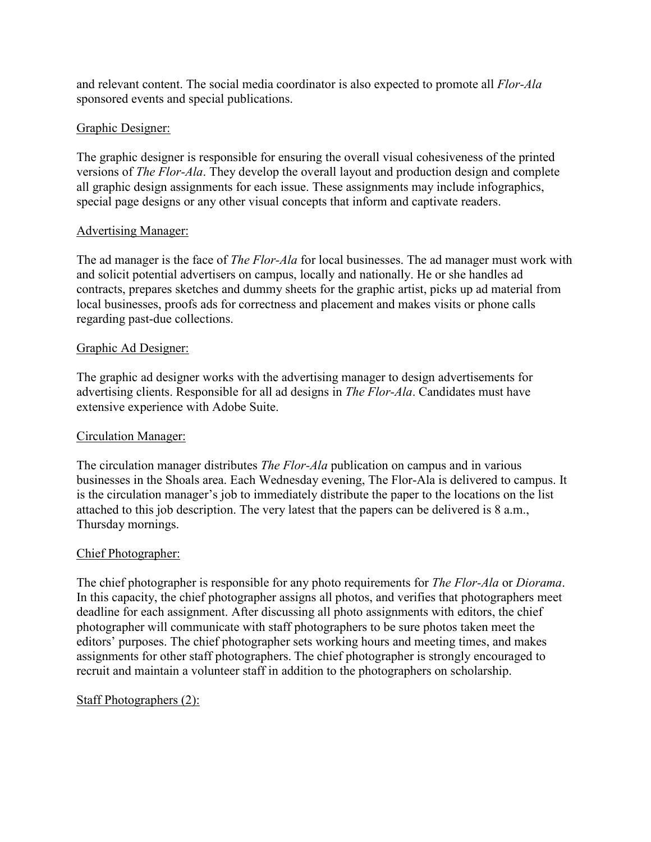and relevant content. The social media coordinator is also expected to promote all *Flor-Ala*  sponsored events and special publications.

## Graphic Designer:

The graphic designer is responsible for ensuring the overall visual cohesiveness of the printed versions of *The Flor-Ala*. They develop the overall layout and production design and complete all graphic design assignments for each issue. These assignments may include infographics, special page designs or any other visual concepts that inform and captivate readers.

#### Advertising Manager:

The ad manager is the face of *The Flor-Ala* for local businesses. The ad manager must work with and solicit potential advertisers on campus, locally and nationally. He or she handles ad contracts, prepares sketches and dummy sheets for the graphic artist, picks up ad material from local businesses, proofs ads for correctness and placement and makes visits or phone calls regarding past-due collections.

#### Graphic Ad Designer:

The graphic ad designer works with the advertising manager to design advertisements for advertising clients. Responsible for all ad designs in *The Flor-Ala*. Candidates must have extensive experience with Adobe Suite.

# Circulation Manager:

The circulation manager distributes *The Flor-Ala* publication on campus and in various businesses in the Shoals area. Each Wednesday evening, The Flor-Ala is delivered to campus. It is the circulation manager's job to immediately distribute the paper to the locations on the list attached to this job description. The very latest that the papers can be delivered is 8 a.m., Thursday mornings.

#### Chief Photographer:

The chief photographer is responsible for any photo requirements for *The Flor-Ala* or *Diorama*. In this capacity, the chief photographer assigns all photos, and verifies that photographers meet deadline for each assignment. After discussing all photo assignments with editors, the chief photographer will communicate with staff photographers to be sure photos taken meet the editors' purposes. The chief photographer sets working hours and meeting times, and makes assignments for other staff photographers. The chief photographer is strongly encouraged to recruit and maintain a volunteer staff in addition to the photographers on scholarship.

#### Staff Photographers (2):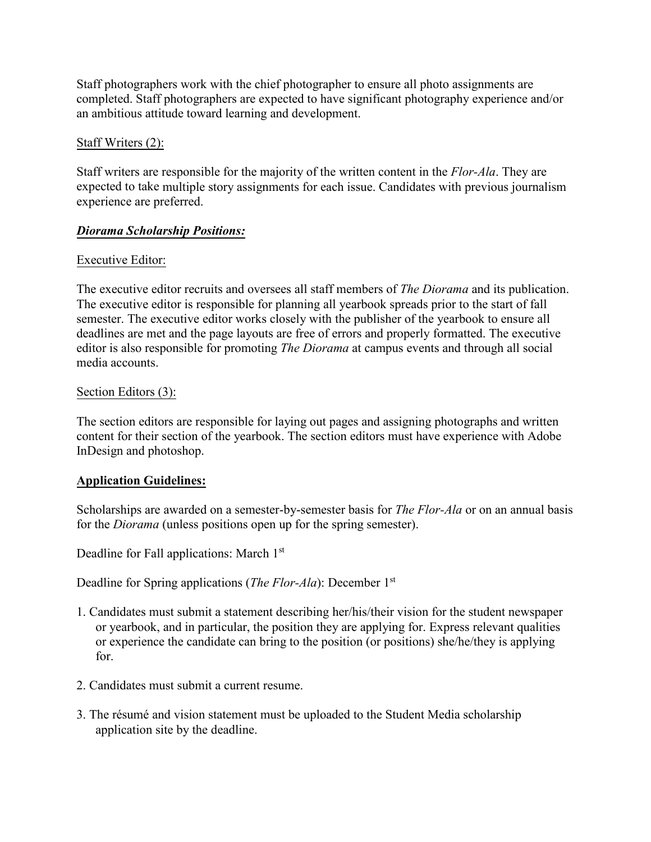Staff photographers work with the chief photographer to ensure all photo assignments are completed. Staff photographers are expected to have significant photography experience and/or an ambitious attitude toward learning and development.

## Staff Writers (2):

Staff writers are responsible for the majority of the written content in the *Flor-Ala*. They are expected to take multiple story assignments for each issue. Candidates with previous journalism experience are preferred.

## *Diorama Scholarship Positions:*

#### Executive Editor:

The executive editor recruits and oversees all staff members of *The Diorama* and its publication. The executive editor is responsible for planning all yearbook spreads prior to the start of fall semester. The executive editor works closely with the publisher of the yearbook to ensure all deadlines are met and the page layouts are free of errors and properly formatted. The executive editor is also responsible for promoting *The Diorama* at campus events and through all social media accounts.

#### Section Editors (3):

The section editors are responsible for laying out pages and assigning photographs and written content for their section of the yearbook. The section editors must have experience with Adobe InDesign and photoshop.

#### **Application Guidelines:**

Scholarships are awarded on a semester-by-semester basis for *The Flor-Ala* or on an annual basis for the *Diorama* (unless positions open up for the spring semester).

Deadline for Fall applications: March 1<sup>st</sup>

Deadline for Spring applications (*The Flor-Ala*): December 1st

- 1. Candidates must submit a statement describing her/his/their vision for the student newspaper or yearbook, and in particular, the position they are applying for. Express relevant qualities or experience the candidate can bring to the position (or positions) she/he/they is applying for.
- 2. Candidates must submit a current resume.
- 3. The résumé and vision statement must be uploaded to the Student Media scholarship application site by the deadline.